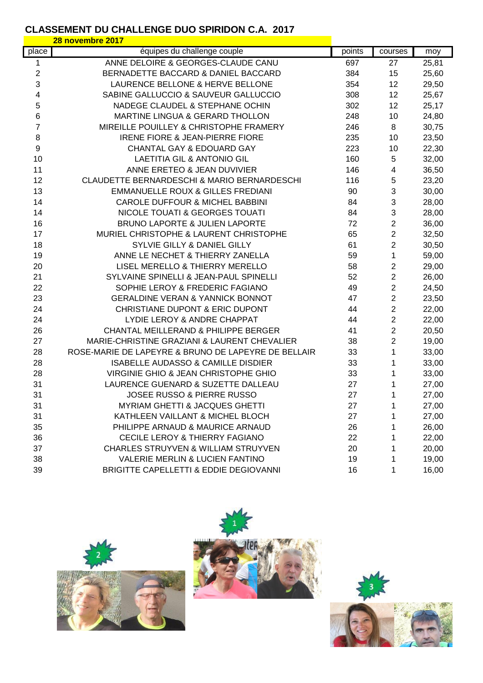## **CLASSEMENT DU CHALLENGE DUO SPIRIDON C.A. 2017**

|                  | 28 novembre 2017                                    |        |                |       |
|------------------|-----------------------------------------------------|--------|----------------|-------|
| place            | équipes du challenge couple                         | points | courses        | moy   |
| 1                | ANNE DELOIRE & GEORGES-CLAUDE CANU                  | 697    | 27             | 25,81 |
| $\overline{2}$   | BERNADETTE BACCARD & DANIEL BACCARD                 | 384    | 15             | 25,60 |
| 3                | LAURENCE BELLONE & HERVE BELLONE                    | 354    | 12             | 29,50 |
| 4                | SABINE GALLUCCIO & SAUVEUR GALLUCCIO                | 308    | 12             | 25,67 |
| 5                | NADEGE CLAUDEL & STEPHANE OCHIN                     | 302    | 12             | 25,17 |
| 6                | MARTINE LINGUA & GERARD THOLLON                     | 248    | 10             | 24,80 |
| 7                | MIREILLE POUILLEY & CHRISTOPHE FRAMERY              | 246    | 8              | 30,75 |
| 8                | <b>IRENE FIORE &amp; JEAN-PIERRE FIORE</b>          | 235    | 10             | 23,50 |
| $\boldsymbol{9}$ | <b>CHANTAL GAY &amp; EDOUARD GAY</b>                | 223    | 10             | 22,30 |
| 10               | <b>LAETITIA GIL &amp; ANTONIO GIL</b>               | 160    | 5              | 32,00 |
| 11               | ANNE ERETEO & JEAN DUVIVIER                         | 146    | 4              | 36,50 |
| 12               | CLAUDETTE BERNARDESCHI & MARIO BERNARDESCHI         | 116    | 5              | 23,20 |
| 13               | <b>EMMANUELLE ROUX &amp; GILLES FREDIANI</b>        | 90     | 3              | 30,00 |
| 14               | <b>CAROLE DUFFOUR &amp; MICHEL BABBINI</b>          | 84     | 3              | 28,00 |
| 14               | NICOLE TOUATI & GEORGES TOUATI                      | 84     | 3              | 28,00 |
| 16               | <b>BRUNO LAPORTE &amp; JULIEN LAPORTE</b>           | 72     | 2              | 36,00 |
| 17               | MURIEL CHRISTOPHE & LAURENT CHRISTOPHE              | 65     | $\overline{2}$ | 32,50 |
| 18               | SYLVIE GILLY & DANIEL GILLY                         | 61     | 2              | 30,50 |
| 19               | ANNE LE NECHET & THIERRY ZANELLA                    | 59     | 1              | 59,00 |
| 20               | LISEL MERELLO & THIERRY MERELLO                     | 58     | $\overline{c}$ | 29,00 |
| 21               | SYLVAINE SPINELLI & JEAN-PAUL SPINELLI              | 52     | $\overline{c}$ | 26,00 |
| 22               | SOPHIE LEROY & FREDERIC FAGIANO                     | 49     | $\overline{2}$ | 24,50 |
| 23               | <b>GERALDINE VERAN &amp; YANNICK BONNOT</b>         | 47     | $\overline{2}$ | 23,50 |
| 24               | CHRISTIANE DUPONT & ERIC DUPONT                     | 44     | 2              | 22,00 |
| 24               | LYDIE LEROY & ANDRE CHAPPAT                         | 44     | $\overline{2}$ | 22,00 |
| 26               | CHANTAL MEILLERAND & PHILIPPE BERGER                | 41     | 2              | 20,50 |
| 27               | MARIE-CHRISTINE GRAZIANI & LAURENT CHEVALIER        | 38     | $\overline{2}$ | 19,00 |
| 28               | ROSE-MARIE DE LAPEYRE & BRUNO DE LAPEYRE DE BELLAIR | 33     | 1              | 33,00 |
| 28               | ISABELLE AUDASSO & CAMILLE DISDIER                  | 33     | 1              | 33,00 |
| 28               | VIRGINIE GHIO & JEAN CHRISTOPHE GHIO                | 33     | 1              | 33,00 |
| 31               | LAURENCE GUENARD & SUZETTE DALLEAU                  | 27     | 1              | 27,00 |
| 31               | <b>JOSEE RUSSO &amp; PIERRE RUSSO</b>               | 27     | 1              | 27,00 |
| 31               | <b>MYRIAM GHETTI &amp; JACQUES GHETTI</b>           | 27     | 1              | 27,00 |
| 31               | KATHLEEN VAILLANT & MICHEL BLOCH                    | 27     | 1              | 27,00 |
| 35               | PHILIPPE ARNAUD & MAURICE ARNAUD                    | 26     | 1              | 26,00 |
| 36               | <b>CECILE LEROY &amp; THIERRY FAGIANO</b>           | 22     | 1              | 22,00 |
| 37               | CHARLES STRUYVEN & WILLIAM STRUYVEN                 | 20     | 1              | 20,00 |
| 38               | <b>VALERIE MERLIN &amp; LUCIEN FANTINO</b>          | 19     | 1              | 19,00 |
| 39               | BRIGITTE CAPELLETTI & EDDIE DEGIOVANNI              | 16     | 1              | 16,00 |